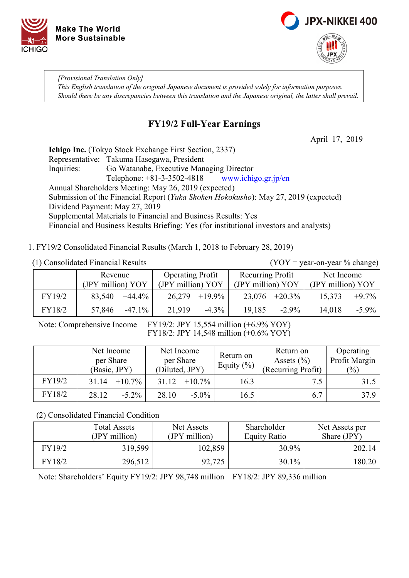



*[Provisional Translation Only] This English translation of the original Japanese document is provided solely for information purposes. Should there be any discrepancies between this translation and the Japanese original, the latter shall prevail.*

# **FY19/2 Full-Year Earnings**

April 17, 2019

**Ichigo Inc.** (Tokyo Stock Exchange First Section, 2337) Representative: Takuma Hasegawa, President Inquiries: Go Watanabe, Executive Managing Director Telephone:  $+81-3-3502-4818$  www.ichigo.gr.jp/en Annual Shareholders Meeting: May 26, 2019 (expected) Submission of the Financial Report (*Yuka Shoken Hokokusho*): May 27, 2019 (expected) Dividend Payment: May 27, 2019 Supplemental Materials to Financial and Business Results: Yes Financial and Business Results Briefing: Yes (for institutional investors and analysts)

1. FY19/2 Consolidated Financial Results (March 1, 2018 to February 28, 2019)

(1) Consolidated Financial Results (YOY = year-on-year % change)

|        | Revenue             | <b>Operating Profit</b> | Recurring Profit  | Net Income         |  |
|--------|---------------------|-------------------------|-------------------|--------------------|--|
|        | (JPY million) YOY   | (JPY million) YOY       | (JPY million) YOY | (JPY million) YOY  |  |
| FY19/2 | $+44.4\%$<br>83,540 | $+19.9\%$<br>26,279     | $23,076$ +20.3%   | $+9.7\%$<br>15,373 |  |
| FY18/2 | $-47.1\%$           | 21,919                  | 19,185            | $-5.9\%$           |  |
|        | 57,846              | $-4.3\%$                | $-2.9\%$          | 14,018             |  |

Note: Comprehensive Income FY19/2: JPY 15,554 million (+6.9% YOY) FY18/2: JPY 14,548 million (+0.6% YOY)

|        | Net Income<br>per Share<br>(Basic, JPY) | Net Income<br>per Share<br>(Diluted, JPY) | Return on<br>Equity $(\%)$ | Return on<br>Assets $(\% )$<br>(Recurring Profit) | Operating<br>Profit Margin<br>$(\%)$ |
|--------|-----------------------------------------|-------------------------------------------|----------------------------|---------------------------------------------------|--------------------------------------|
| FY19/2 | $+10.7\%$<br>31.14                      | $+10.7\%$<br>31.12                        | 16.3                       | 7.5                                               | 31.5                                 |
| FY18/2 | 28.12<br>$-5.2\%$                       | $-5.0\%$<br>28.10                         | 16.5                       | 6.7                                               | 37.9                                 |

(2) Consolidated Financial Condition

|        | <b>Total Assets</b> | Net Assets    | Shareholder  | Net Assets per |
|--------|---------------------|---------------|--------------|----------------|
|        | (JPY million)       | (JPY million) | Equity Ratio | Share (JPY)    |
| FY19/2 | 319,599             | 102,859       | 30.9%        | 202.14         |
| FY18/2 | 296,512             | 92,725        | $30.1\%$     | 180.20         |

Note: Shareholders' Equity FY19/2: JPY 98,748 million FY18/2: JPY 89,336 million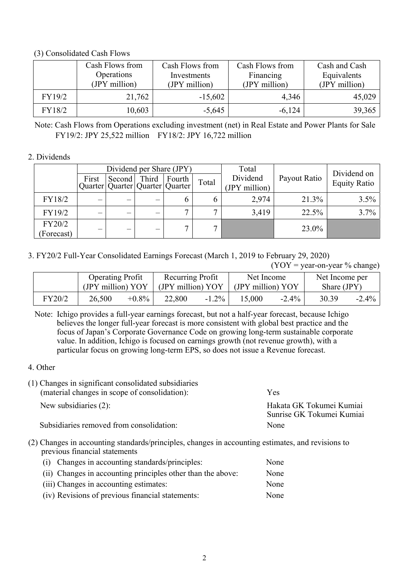## (3) Consolidated Cash Flows

|        | Cash Flows from<br>Operations<br>(JPY million) | Cash Flows from<br>Investments<br>(JPY million) | Cash Flows from<br>Financing<br>(JPY million) | Cash and Cash<br>Equivalents<br>(JPY million) |
|--------|------------------------------------------------|-------------------------------------------------|-----------------------------------------------|-----------------------------------------------|
| FY19/2 | 21,762                                         | $-15,602$                                       | 4,346                                         | 45,029                                        |
| FY18/2 | 10,603                                         | $-5,645$                                        | $-6,124$                                      | 39,365                                        |

Note: Cash Flows from Operations excluding investment (net) in Real Estate and Power Plants for Sale FY19/2: JPY 25,522 million FY18/2: JPY 16,722 million

### 2. Dividends

|                      |                          |                                             |       | Dividend per Share (JPY) |       | Total                     |              | Dividend on         |
|----------------------|--------------------------|---------------------------------------------|-------|--------------------------|-------|---------------------------|--------------|---------------------|
|                      | First                    | Second  <br>Quarter Quarter Quarter Quarter | Third | Fourth                   | Total | Dividend<br>(JPY million) | Payout Ratio | <b>Equity Ratio</b> |
| FY18/2               |                          |                                             |       |                          |       | 2,974                     | 21.3%        | $3.5\%$             |
| FY19/2               | $\overline{\phantom{0}}$ | $\overline{\phantom{0}}$                    |       |                          |       | 3,419                     | 22.5%        | $3.7\%$             |
| FY20/2<br>(Forecast) | $\overline{\phantom{0}}$ | $\overline{\phantom{0}}$                    |       |                          |       |                           | 23.0%        |                     |

3. FY20/2 Full-Year Consolidated Earnings Forecast (March 1, 2019 to February 29, 2020)

 $(YOY = year-on-year \% change)$ 

|        | <b>Operating Profit</b><br>(JPY million) YOY |          | Recurring Profit<br>(JPY million) YOY |          | Net Income<br>(JPY million) YOY |          | Net Income per<br>Share $(JPY)$ |          |
|--------|----------------------------------------------|----------|---------------------------------------|----------|---------------------------------|----------|---------------------------------|----------|
| FY20/2 | 26,500                                       | $+0.8\%$ | 22,800                                | $-1.2\%$ | 15,000                          | $-2.4\%$ | 30.39                           | $-2.4\%$ |

Note: Ichigo provides a full-year earnings forecast, but not a half-year forecast, because Ichigo believes the longer full-year forecast is more consistent with global best practice and the focus of Japan's Corporate Governance Code on growing long-term sustainable corporate value. In addition, Ichigo is focused on earnings growth (not revenue growth), with a particular focus on growing long-term EPS, so does not issue a Revenue forecast.

#### 4. Other

| (1) Changes in significant consolidated subsidiaries<br>(material changes in scope of consolidation): | <b>Yes</b>                                            |
|-------------------------------------------------------------------------------------------------------|-------------------------------------------------------|
| New subsidiaries $(2)$ :                                                                              | Hakata GK Tokumei Kumiai<br>Sunrise GK Tokumei Kumiai |
| Subsidiaries removed from consolidation:                                                              | None                                                  |

(2) Changes in accounting standards/principles, changes in accounting estimates, and revisions to previous financial statements

| (i) Changes in accounting standards/principles:             | None |
|-------------------------------------------------------------|------|
| (ii) Changes in accounting principles other than the above: | None |
| (iii) Changes in accounting estimates:                      | None |
| (iv) Revisions of previous financial statements:            | None |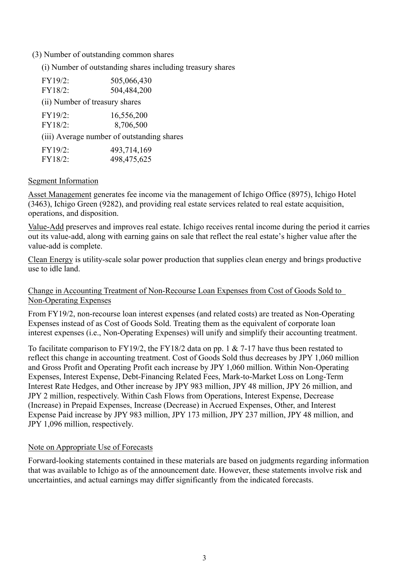#### (3) Number of outstanding common shares

(i) Number of outstanding shares including treasury shares

| FY19/2:                        | 505,066,430                                |
|--------------------------------|--------------------------------------------|
| FY18/2:                        | 504,484,200                                |
| (ii) Number of treasury shares |                                            |
| FY19/2:                        | 16,556,200                                 |
| FY18/2:                        | 8,706,500                                  |
|                                | (iii) Average number of outstanding shares |
| FY19/2:                        | 493,714,169                                |
| FY18/2:                        | 498,475,625                                |

#### Segment Information

Asset Management generates fee income via the management of Ichigo Office (8975), Ichigo Hotel (3463), Ichigo Green (9282), and providing real estate services related to real estate acquisition, operations, and disposition.

Value-Add preserves and improves real estate. Ichigo receives rental income during the period it carries out its value-add, along with earning gains on sale that reflect the real estate's higher value after the value-add is complete.

Clean Energy is utility-scale solar power production that supplies clean energy and brings productive use to idle land.

Change in Accounting Treatment of Non-Recourse Loan Expenses from Cost of Goods Sold to Non-Operating Expenses

From FY19/2, non-recourse loan interest expenses (and related costs) are treated as Non-Operating Expenses instead of as Cost of Goods Sold. Treating them as the equivalent of corporate loan interest expenses (i.e., Non-Operating Expenses) will unify and simplify their accounting treatment.

To facilitate comparison to FY19/2, the FY18/2 data on pp. 1 & 7-17 have thus been restated to reflect this change in accounting treatment. Cost of Goods Sold thus decreases by JPY 1,060 million and Gross Profit and Operating Profit each increase by JPY 1,060 million. Within Non-Operating Expenses, Interest Expense, Debt-Financing Related Fees, Mark-to-Market Loss on Long-Term Interest Rate Hedges, and Other increase by JPY 983 million, JPY 48 million, JPY 26 million, and JPY 2 million, respectively. Within Cash Flows from Operations, Interest Expense, Decrease (Increase) in Prepaid Expenses, Increase (Decrease) in Accrued Expenses, Other, and Interest Expense Paid increase by JPY 983 million, JPY 173 million, JPY 237 million, JPY 48 million, and JPY 1,096 million, respectively.

#### Note on Appropriate Use of Forecasts

Forward-looking statements contained in these materials are based on judgments regarding information that was available to Ichigo as of the announcement date. However, these statements involve risk and uncertainties, and actual earnings may differ significantly from the indicated forecasts.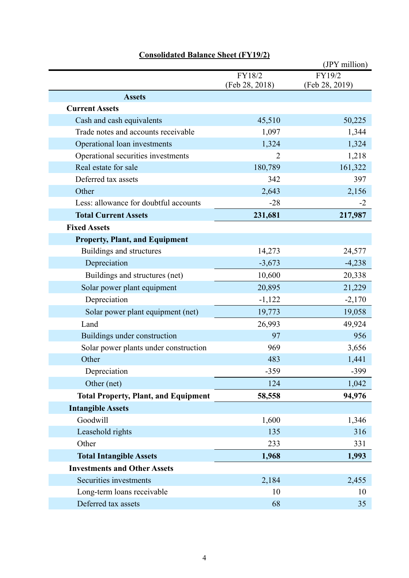|                                             |                          | (JPY million)            |
|---------------------------------------------|--------------------------|--------------------------|
|                                             | FY18/2<br>(Feb 28, 2018) | FY19/2<br>(Feb 28, 2019) |
| <b>Assets</b>                               |                          |                          |
| <b>Current Assets</b>                       |                          |                          |
| Cash and cash equivalents                   | 45,510                   | 50,225                   |
| Trade notes and accounts receivable         | 1,097                    | 1,344                    |
| Operational loan investments                | 1,324                    | 1,324                    |
| Operational securities investments          | 2                        | 1,218                    |
| Real estate for sale                        | 180,789                  | 161,322                  |
| Deferred tax assets                         | 342                      | 397                      |
| Other                                       | 2,643                    | 2,156                    |
| Less: allowance for doubtful accounts       | $-28$                    | $-2$                     |
| <b>Total Current Assets</b>                 | 231,681                  | 217,987                  |
| <b>Fixed Assets</b>                         |                          |                          |
| <b>Property, Plant, and Equipment</b>       |                          |                          |
| Buildings and structures                    | 14,273                   | 24,577                   |
| Depreciation                                | $-3,673$                 | $-4,238$                 |
| Buildings and structures (net)              | 10,600                   | 20,338                   |
| Solar power plant equipment                 | 20,895                   | 21,229                   |
| Depreciation                                | $-1,122$                 | $-2,170$                 |
| Solar power plant equipment (net)           | 19,773                   | 19,058                   |
| Land                                        | 26,993                   | 49,924                   |
| Buildings under construction                | 97                       | 956                      |
| Solar power plants under construction       | 969                      | 3,656                    |
| Other                                       | 483                      | 1,441                    |
| Depreciation                                | $-359$                   | $-399$                   |
| Other (net)                                 | 124                      | 1,042                    |
| <b>Total Property, Plant, and Equipment</b> | 58,558                   | 94,976                   |
| <b>Intangible Assets</b>                    |                          |                          |
| Goodwill                                    | 1,600                    | 1,346                    |
| Leasehold rights                            | 135                      | 316                      |
| Other                                       | 233                      | 331                      |
| <b>Total Intangible Assets</b>              | 1,968                    | 1,993                    |
| <b>Investments and Other Assets</b>         |                          |                          |
| Securities investments                      | 2,184                    | 2,455                    |
| Long-term loans receivable                  | 10                       | 10                       |
| Deferred tax assets                         | 68                       | 35                       |

# **Consolidated Balance Sheet (FY19/2)**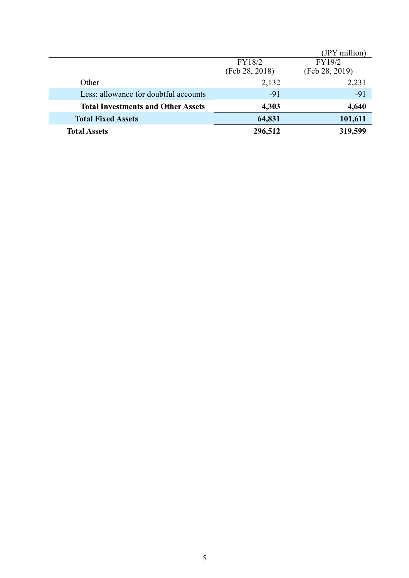|                                           |                | (JPY million)  |
|-------------------------------------------|----------------|----------------|
|                                           | FY18/2         | FY19/2         |
|                                           | (Feb 28, 2018) | (Feb 28, 2019) |
| Other                                     | 2,132          | 2,231          |
| Less: allowance for doubtful accounts     | $-91$          | $-91$          |
| <b>Total Investments and Other Assets</b> | 4,303          | 4,640          |
| <b>Total Fixed Assets</b>                 | 64,831         | 101,611        |
| <b>Total Assets</b>                       | 296,512        | 319,599        |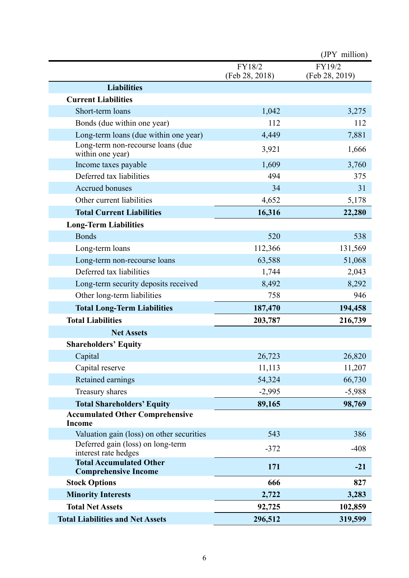|                                                               |                          | (JPY million)            |
|---------------------------------------------------------------|--------------------------|--------------------------|
|                                                               | FY18/2<br>(Feb 28, 2018) | FY19/2<br>(Feb 28, 2019) |
| <b>Liabilities</b>                                            |                          |                          |
| <b>Current Liabilities</b>                                    |                          |                          |
| Short-term loans                                              | 1,042                    | 3,275                    |
| Bonds (due within one year)                                   | 112                      | 112                      |
| Long-term loans (due within one year)                         | 4,449                    | 7,881                    |
| Long-term non-recourse loans (due<br>within one year)         | 3,921                    | 1,666                    |
| Income taxes payable                                          | 1,609                    | 3,760                    |
| Deferred tax liabilities                                      | 494                      | 375                      |
| <b>Accrued bonuses</b>                                        | 34                       | 31                       |
| Other current liabilities                                     | 4,652                    | 5,178                    |
| <b>Total Current Liabilities</b>                              | 16,316                   | 22,280                   |
| <b>Long-Term Liabilities</b>                                  |                          |                          |
| <b>Bonds</b>                                                  | 520                      | 538                      |
| Long-term loans                                               | 112,366                  | 131,569                  |
| Long-term non-recourse loans                                  | 63,588                   | 51,068                   |
| Deferred tax liabilities                                      | 1,744                    | 2,043                    |
| Long-term security deposits received                          | 8,492                    | 8,292                    |
| Other long-term liabilities                                   | 758                      | 946                      |
| <b>Total Long-Term Liabilities</b>                            | 187,470                  | 194,458                  |
| <b>Total Liabilities</b>                                      | 203,787                  | 216,739                  |
| <b>Net Assets</b>                                             |                          |                          |
| <b>Shareholders' Equity</b>                                   |                          |                          |
| Capital                                                       | 26,723                   | 26,820                   |
| Capital reserve                                               | 11,113                   | 11,207                   |
| Retained earnings                                             | 54,324                   | 66,730                   |
| Treasury shares                                               | $-2,995$                 | $-5,988$                 |
| <b>Total Shareholders' Equity</b>                             | 89,165                   | 98,769                   |
| <b>Accumulated Other Comprehensive</b><br><b>Income</b>       |                          |                          |
| Valuation gain (loss) on other securities                     | 543                      | 386                      |
| Deferred gain (loss) on long-term<br>interest rate hedges     | $-372$                   | $-408$                   |
| <b>Total Accumulated Other</b><br><b>Comprehensive Income</b> | 171                      | $-21$                    |
| <b>Stock Options</b>                                          | 666                      | 827                      |
| <b>Minority Interests</b>                                     | 2,722                    | 3,283                    |
| <b>Total Net Assets</b>                                       | 92,725                   | 102,859                  |
| <b>Total Liabilities and Net Assets</b>                       | 296,512                  | 319,599                  |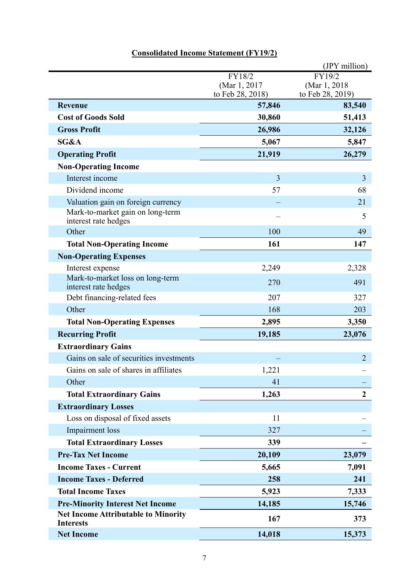|                                                                |                                  | (JPY million)                     |
|----------------------------------------------------------------|----------------------------------|-----------------------------------|
|                                                                | FY18/2                           | FY19/2                            |
|                                                                | (Mar 1, 2017<br>to Feb 28, 2018) | (Mar 1, 2018)<br>to Feb 28, 2019) |
| <b>Revenue</b>                                                 | 57,846                           | 83,540                            |
| <b>Cost of Goods Sold</b>                                      | 30,860                           | 51,413                            |
| <b>Gross Profit</b>                                            | 26,986                           | 32,126                            |
| SG&A                                                           | 5,067                            | 5,847                             |
| <b>Operating Profit</b>                                        | 21,919                           | 26,279                            |
| <b>Non-Operating Income</b>                                    |                                  |                                   |
| Interest income                                                | 3                                | 3                                 |
| Dividend income                                                | 57                               | 68                                |
| Valuation gain on foreign currency                             |                                  | 21                                |
| Mark-to-market gain on long-term<br>interest rate hedges       |                                  | 5                                 |
| Other                                                          | 100                              | 49                                |
| <b>Total Non-Operating Income</b>                              | 161                              | 147                               |
| <b>Non-Operating Expenses</b>                                  |                                  |                                   |
| Interest expense                                               | 2,249                            | 2,328                             |
| Mark-to-market loss on long-term<br>interest rate hedges       | 270                              | 491                               |
| Debt financing-related fees                                    | 207                              | 327                               |
| Other                                                          | 168                              | 203                               |
| <b>Total Non-Operating Expenses</b>                            | 2,895                            | 3,350                             |
| <b>Recurring Profit</b>                                        | 19,185                           | 23,076                            |
| <b>Extraordinary Gains</b>                                     |                                  |                                   |
| Gains on sale of securities investments                        |                                  | $\overline{2}$                    |
| Gains on sale of shares in affiliates                          | 1,221                            |                                   |
| Other                                                          | 41                               |                                   |
| <b>Total Extraordinary Gains</b>                               | 1,263                            | $\boldsymbol{2}$                  |
| <b>Extraordinary Losses</b>                                    |                                  |                                   |
| Loss on disposal of fixed assets                               | 11                               |                                   |
| Impairment loss                                                | 327                              |                                   |
| <b>Total Extraordinary Losses</b>                              | 339                              |                                   |
| <b>Pre-Tax Net Income</b>                                      | 20,109                           | 23,079                            |
| <b>Income Taxes - Current</b>                                  | 5,665                            | 7,091                             |
| <b>Income Taxes - Deferred</b>                                 | 258                              | 241                               |
| <b>Total Income Taxes</b>                                      | 5,923                            | 7,333                             |
| <b>Pre-Minority Interest Net Income</b>                        | 14,185                           | 15,746                            |
| <b>Net Income Attributable to Minority</b><br><b>Interests</b> | 167                              | 373                               |
| <b>Net Income</b>                                              | 14,018                           | 15,373                            |

# **Consolidated Income Statement (FY19/2)**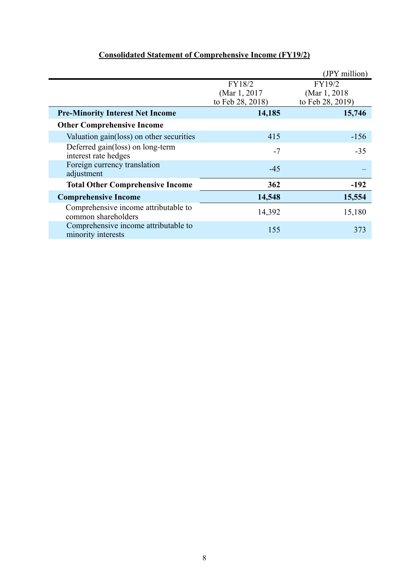|                                                             |                                             | (JPY million)                               |
|-------------------------------------------------------------|---------------------------------------------|---------------------------------------------|
|                                                             | FY18/2<br>(Mar 1, 2017)<br>to Feb 28, 2018) | FY19/2<br>(Mar 1, 2018)<br>to Feb 28, 2019) |
| <b>Pre-Minority Interest Net Income</b>                     | 14,185                                      | 15,746                                      |
| <b>Other Comprehensive Income</b>                           |                                             |                                             |
| Valuation gain(loss) on other securities                    | 415                                         | $-156$                                      |
| Deferred gain(loss) on long-term<br>interest rate hedges    | $-7$                                        | $-35$                                       |
| Foreign currency translation<br>adjustment                  | $-45$                                       |                                             |
| <b>Total Other Comprehensive Income</b>                     | 362                                         | $-192$                                      |
| <b>Comprehensive Income</b>                                 | 14,548                                      | 15,554                                      |
| Comprehensive income attributable to<br>common shareholders | 14,392                                      | 15,180                                      |
| Comprehensive income attributable to<br>minority interests  | 155                                         | 373                                         |

# **Consolidated Statement of Comprehensive Income (FY19/2)**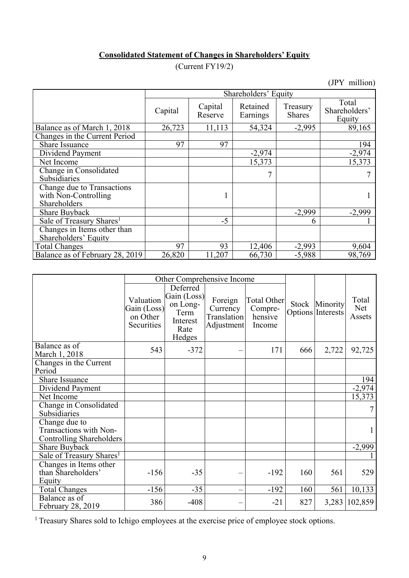## **Consolidated Statement of Changes in Shareholders' Equity**

(Current FY19/2)

(JPY million)

|                                                                    | Shareholders' Equity |                    |                      |                           |                                  |  |  |  |
|--------------------------------------------------------------------|----------------------|--------------------|----------------------|---------------------------|----------------------------------|--|--|--|
|                                                                    | Capital              | Capital<br>Reserve | Retained<br>Earnings | Treasury<br><b>Shares</b> | Total<br>Shareholders'<br>Equity |  |  |  |
| Balance as of March 1, 2018                                        | 26,723               | 11,113             | 54,324               | $-2,995$                  | 89,165                           |  |  |  |
| Changes in the Current Period                                      |                      |                    |                      |                           |                                  |  |  |  |
| <b>Share Issuance</b>                                              | 97                   | 97                 |                      |                           | 194                              |  |  |  |
| Dividend Payment                                                   |                      |                    | $-2,974$             |                           | $-2,974$                         |  |  |  |
| Net Income                                                         |                      |                    | 15,373               |                           | 15,373                           |  |  |  |
| Change in Consolidated                                             |                      |                    |                      |                           |                                  |  |  |  |
| Subsidiaries                                                       |                      |                    |                      |                           |                                  |  |  |  |
| Change due to Transactions<br>with Non-Controlling<br>Shareholders |                      |                    |                      |                           |                                  |  |  |  |
| <b>Share Buyback</b>                                               |                      |                    |                      | $-2,999$                  | $-2,999$                         |  |  |  |
| Sale of Treasury Shares <sup>1</sup>                               |                      | $-5$               |                      | h                         |                                  |  |  |  |
| Changes in Items other than                                        |                      |                    |                      |                           |                                  |  |  |  |
| Shareholders' Equity                                               |                      |                    |                      |                           |                                  |  |  |  |
| <b>Total Changes</b>                                               | 97                   | 93                 | 12,406               | $-2,993$                  | 9,604                            |  |  |  |
| Balance as of February 28, 2019                                    | 26,820               | 11,207             | 66,730               | $-5,988$                  | 98,769                           |  |  |  |

|                                                                     | Other Comprehensive Income                         |                                                                           |                                                         |                                             |       |                               |                        |
|---------------------------------------------------------------------|----------------------------------------------------|---------------------------------------------------------------------------|---------------------------------------------------------|---------------------------------------------|-------|-------------------------------|------------------------|
|                                                                     | Valuation<br>Gain (Loss)<br>on Other<br>Securities | Deferred<br>Gain (Loss)<br>on Long-<br>Term<br>Interest<br>Rate<br>Hedges | Foreign<br>Currency<br><b>Translation</b><br>Adjustment | Total Other<br>Compre-<br>hensive<br>Income | Stock | Minority<br>Options Interests | Total<br>Net<br>Assets |
| Balance as of<br>March 1, 2018                                      | 543                                                | $-372$                                                                    |                                                         | 171                                         | 666   | 2,722                         | 92,725                 |
| Changes in the Current<br>Period                                    |                                                    |                                                                           |                                                         |                                             |       |                               |                        |
| Share Issuance                                                      |                                                    |                                                                           |                                                         |                                             |       |                               | 194                    |
| Dividend Payment                                                    |                                                    |                                                                           |                                                         |                                             |       |                               | $-2,974$               |
| Net Income                                                          |                                                    |                                                                           |                                                         |                                             |       |                               | 15,373                 |
| Change in Consolidated<br>Subsidiaries                              |                                                    |                                                                           |                                                         |                                             |       |                               | 7                      |
| Change due to<br>Transactions with Non-<br>Controlling Shareholders |                                                    |                                                                           |                                                         |                                             |       |                               |                        |
| <b>Share Buyback</b>                                                |                                                    |                                                                           |                                                         |                                             |       |                               | $-2,999$               |
| Sale of Treasury Shares <sup>1</sup>                                |                                                    |                                                                           |                                                         |                                             |       |                               |                        |
| Changes in Items other<br>than Shareholders'<br>Equity              | $-156$                                             | $-35$                                                                     |                                                         | $-192$                                      | 160   | 561                           | 529                    |
| Total Changes                                                       | $-156$                                             | $-35$                                                                     |                                                         | $-192$                                      | 160   | 561                           | 10,133                 |
| Balance as of<br>February 28, 2019                                  | 386                                                | $-408$                                                                    |                                                         | $-21$                                       | 827   | 3,283                         | 102,859                |

<sup>1</sup> Treasury Shares sold to Ichigo employees at the exercise price of employee stock options.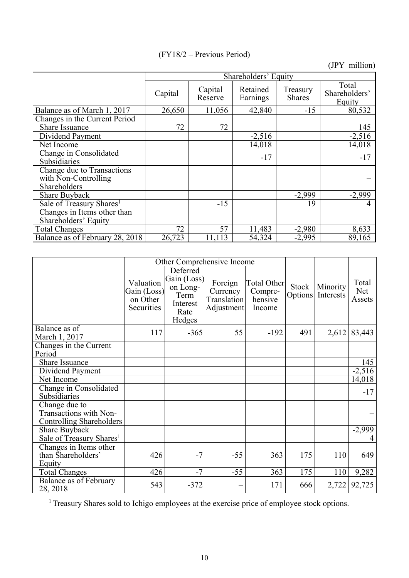(FY18/2 – Previous Period)

(JPY million)

|                                                                    | Shareholders' Equity |                    |                      |                           |                                  |  |  |  |
|--------------------------------------------------------------------|----------------------|--------------------|----------------------|---------------------------|----------------------------------|--|--|--|
|                                                                    | Capital              | Capital<br>Reserve | Retained<br>Earnings | Treasury<br><b>Shares</b> | Total<br>Shareholders'<br>Equity |  |  |  |
| Balance as of March 1, 2017                                        | 26,650               | 11,056             | 42,840               | $-15$                     | 80,532                           |  |  |  |
| Changes in the Current Period                                      |                      |                    |                      |                           |                                  |  |  |  |
| <b>Share Issuance</b>                                              | 72                   | 72                 |                      |                           | 145                              |  |  |  |
| Dividend Payment                                                   |                      |                    | $-2,516$             |                           | $-2,516$                         |  |  |  |
| Net Income                                                         |                      |                    | 14,018               |                           | 14,018                           |  |  |  |
| Change in Consolidated<br>Subsidiaries                             |                      |                    | $-17$                |                           | $-17$                            |  |  |  |
| Change due to Transactions<br>with Non-Controlling<br>Shareholders |                      |                    |                      |                           |                                  |  |  |  |
| Share Buyback                                                      |                      |                    |                      | $-2,999$                  | $-2,999$                         |  |  |  |
| Sale of Treasury Shares <sup>1</sup>                               |                      | $-15$              |                      | 19                        |                                  |  |  |  |
| Changes in Items other than<br>Shareholders' Equity                |                      |                    |                      |                           |                                  |  |  |  |
| <b>Total Changes</b>                                               | 72                   | 57                 | 11,483               | $-2,980$                  | 8,633                            |  |  |  |
| Balance as of February 28, 2018                                    | 26,723               | 11,113             | 54,324               | $-2,995$                  | 89,165                           |  |  |  |

|                                                                     | Other Comprehensive Income                         |                                                                           |                                                         |                                             |                  |                       |                        |
|---------------------------------------------------------------------|----------------------------------------------------|---------------------------------------------------------------------------|---------------------------------------------------------|---------------------------------------------|------------------|-----------------------|------------------------|
|                                                                     | Valuation<br>Gain (Loss)<br>on Other<br>Securities | Deferred<br>Gain (Loss)<br>on Long-<br>Term<br>Interest<br>Rate<br>Hedges | Foreign<br>Currency<br><b>Translation</b><br>Adjustment | Total Other<br>Compre-<br>hensive<br>Income | Stock<br>Options | Minority<br>Interests | Total<br>Net<br>Assets |
| Balance as of<br>March 1, 2017                                      | 117                                                | $-365$                                                                    | 55                                                      | $-192$                                      | 491              | 2,612                 | 83,443                 |
| Changes in the Current<br>Period                                    |                                                    |                                                                           |                                                         |                                             |                  |                       |                        |
| Share Issuance                                                      |                                                    |                                                                           |                                                         |                                             |                  |                       | 145                    |
| Dividend Payment                                                    |                                                    |                                                                           |                                                         |                                             |                  |                       | $-2,516$               |
| Net Income                                                          |                                                    |                                                                           |                                                         |                                             |                  |                       | 14,018                 |
| Change in Consolidated<br>Subsidiaries                              |                                                    |                                                                           |                                                         |                                             |                  |                       | $-17$                  |
| Change due to<br>Transactions with Non-<br>Controlling Shareholders |                                                    |                                                                           |                                                         |                                             |                  |                       |                        |
| Share Buyback                                                       |                                                    |                                                                           |                                                         |                                             |                  |                       | $-2,999$               |
| Sale of Treasury Shares <sup>1</sup>                                |                                                    |                                                                           |                                                         |                                             |                  |                       |                        |
| Changes in Items other<br>than Shareholders'<br>Equity              | 426                                                | $-7$                                                                      | $-55$                                                   | 363                                         | 175              | 110                   | 649                    |
| <b>Total Changes</b>                                                | 426                                                | $-7$                                                                      | $-55$                                                   | 363                                         | 175              | 110                   | 9,282                  |
| Balance as of February<br>28, 2018                                  | 543                                                | $-372$                                                                    |                                                         | 171                                         | 666              | 2,722                 | 92,725                 |

<sup>1</sup> Treasury Shares sold to Ichigo employees at the exercise price of employee stock options.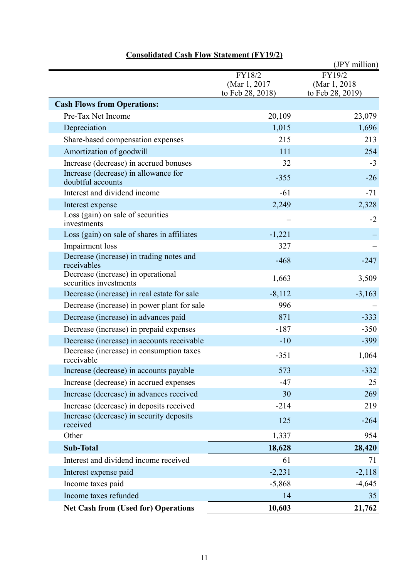|                                                              |                                            | (JPY million)                               |
|--------------------------------------------------------------|--------------------------------------------|---------------------------------------------|
|                                                              | FY18/2<br>(Mar 1, 2017<br>to Feb 28, 2018) | FY19/2<br>(Mar 1, 2018)<br>to Feb 28, 2019) |
| <b>Cash Flows from Operations:</b>                           |                                            |                                             |
| Pre-Tax Net Income                                           | 20,109                                     | 23,079                                      |
| Depreciation                                                 | 1,015                                      | 1,696                                       |
| Share-based compensation expenses                            | 215                                        | 213                                         |
| Amortization of goodwill                                     | 111                                        | 254                                         |
| Increase (decrease) in accrued bonuses                       | 32                                         | $-3$                                        |
| Increase (decrease) in allowance for<br>doubtful accounts    | $-355$                                     | $-26$                                       |
| Interest and dividend income                                 | $-61$                                      | $-71$                                       |
| Interest expense                                             | 2,249                                      | 2,328                                       |
| Loss (gain) on sale of securities<br>investments             |                                            | $-2$                                        |
| Loss (gain) on sale of shares in affiliates                  | $-1,221$                                   |                                             |
| Impairment loss                                              | 327                                        |                                             |
| Decrease (increase) in trading notes and<br>receivables      | $-468$                                     | $-247$                                      |
| Decrease (increase) in operational<br>securities investments | 1,663                                      | 3,509                                       |
| Decrease (increase) in real estate for sale                  | $-8,112$                                   | $-3,163$                                    |
| Decrease (increase) in power plant for sale                  | 996                                        |                                             |
| Decrease (increase) in advances paid                         | 871                                        | $-333$                                      |
| Decrease (increase) in prepaid expenses                      | $-187$                                     | $-350$                                      |
| Decrease (increase) in accounts receivable                   | $-10$                                      | $-399$                                      |
| Decrease (increase) in consumption taxes<br>receivable       | $-351$                                     | 1,064                                       |
| Increase (decrease) in accounts payable                      | 573                                        | $-332$                                      |
| Increase (decrease) in accrued expenses                      | $-47$                                      | 25                                          |
| Increase (decrease) in advances received                     | 30                                         | 269                                         |
| Increase (decrease) in deposits received                     | $-214$                                     | 219                                         |
| Increase (decrease) in security deposits<br>received         | 125                                        | $-264$                                      |
| Other                                                        | 1,337                                      | 954                                         |
| <b>Sub-Total</b>                                             | 18,628                                     | 28,420                                      |
| Interest and dividend income received                        | 61                                         | 71                                          |
| Interest expense paid                                        | $-2,231$                                   | $-2,118$                                    |
| Income taxes paid                                            | $-5,868$                                   | $-4,645$                                    |
| Income taxes refunded                                        | 14                                         | 35                                          |
| <b>Net Cash from (Used for) Operations</b>                   | 10,603                                     | 21,762                                      |

## **Consolidated Cash Flow Statement (FY19/2)**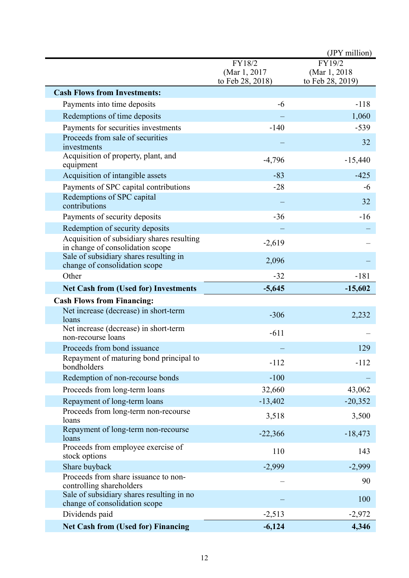|                                                                                |                                             | (JPY million)                               |
|--------------------------------------------------------------------------------|---------------------------------------------|---------------------------------------------|
|                                                                                | FY18/2<br>(Mar 1, 2017)<br>to Feb 28, 2018) | FY19/2<br>(Mar 1, 2018)<br>to Feb 28, 2019) |
| <b>Cash Flows from Investments:</b>                                            |                                             |                                             |
| Payments into time deposits                                                    | $-6$                                        | $-118$                                      |
| Redemptions of time deposits                                                   |                                             | 1,060                                       |
| Payments for securities investments                                            | $-140$                                      | $-539$                                      |
| Proceeds from sale of securities<br>investments                                |                                             | 32                                          |
| Acquisition of property, plant, and<br>equipment                               | $-4,796$                                    | $-15,440$                                   |
| Acquisition of intangible assets                                               | $-83$                                       | $-425$                                      |
| Payments of SPC capital contributions                                          | $-28$                                       | -6                                          |
| Redemptions of SPC capital<br>contributions                                    |                                             | 32                                          |
| Payments of security deposits                                                  | $-36$                                       | $-16$                                       |
| Redemption of security deposits                                                |                                             |                                             |
| Acquisition of subsidiary shares resulting<br>in change of consolidation scope | $-2,619$                                    |                                             |
| Sale of subsidiary shares resulting in<br>change of consolidation scope        | 2,096                                       |                                             |
| Other                                                                          | $-32$                                       | $-181$                                      |
| <b>Net Cash from (Used for) Investments</b>                                    | $-5,645$                                    | $-15,602$                                   |
| <b>Cash Flows from Financing:</b>                                              |                                             |                                             |
| Net increase (decrease) in short-term<br>loans                                 | $-306$                                      | 2,232                                       |
| Net increase (decrease) in short-term<br>non-recourse loans                    | $-611$                                      |                                             |
| Proceeds from bond issuance                                                    |                                             | 129                                         |
| Repayment of maturing bond principal to<br>bondholders                         | $-112$                                      | $-112$                                      |
| Redemption of non-recourse bonds                                               | $-100$                                      |                                             |
| Proceeds from long-term loans                                                  | 32,660                                      | 43,062                                      |
| Repayment of long-term loans                                                   | $-13,402$                                   | $-20,352$                                   |
| Proceeds from long-term non-recourse<br>loans                                  | 3,518                                       | 3,500                                       |
| Repayment of long-term non-recourse<br>loans                                   | $-22,366$                                   | $-18,473$                                   |
| Proceeds from employee exercise of<br>stock options                            | 110                                         | 143                                         |
| Share buyback                                                                  | $-2,999$                                    | $-2,999$                                    |
| Proceeds from share issuance to non-<br>controlling shareholders               |                                             | 90                                          |
| Sale of subsidiary shares resulting in no<br>change of consolidation scope     |                                             | 100                                         |
| Dividends paid                                                                 | $-2,513$                                    | $-2,972$                                    |
| <b>Net Cash from (Used for) Financing</b>                                      | $-6,124$                                    | 4,346                                       |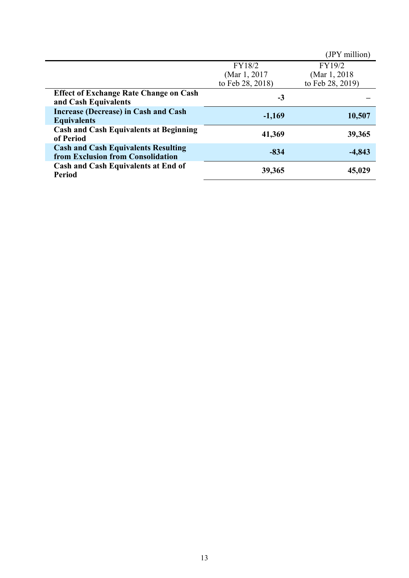|                                                                                 |                  | (JPY million)    |
|---------------------------------------------------------------------------------|------------------|------------------|
|                                                                                 | FY18/2           | FY19/2           |
|                                                                                 | (Mar 1, 2017)    | (Mar 1, 2018)    |
|                                                                                 | to Feb 28, 2018) | to Feb 28, 2019) |
| <b>Effect of Exchange Rate Change on Cash</b><br>and Cash Equivalents           | $-3$             |                  |
| Increase (Decrease) in Cash and Cash<br><b>Equivalents</b>                      | $-1,169$         | 10,507           |
| <b>Cash and Cash Equivalents at Beginning</b><br>of Period                      | 41,369           | 39,365           |
| <b>Cash and Cash Equivalents Resulting</b><br>from Exclusion from Consolidation | $-834$           | $-4,843$         |
| <b>Cash and Cash Equivalents at End of</b><br><b>Period</b>                     | 39,365           | 45,029           |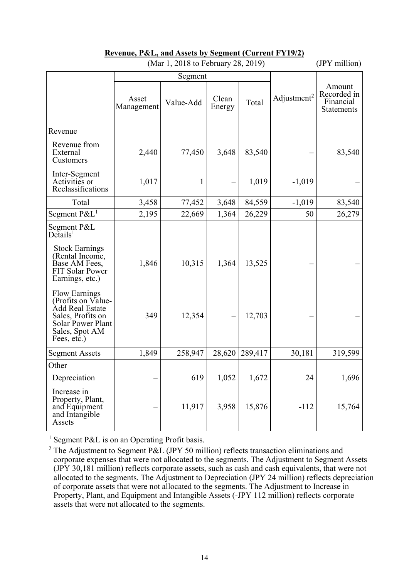| (Mar 1, 2018 to February 28, 2019)                                                                                                                                  |                     |           |                 |         |                         | (JPY million)                                           |
|---------------------------------------------------------------------------------------------------------------------------------------------------------------------|---------------------|-----------|-----------------|---------|-------------------------|---------------------------------------------------------|
|                                                                                                                                                                     |                     | Segment   |                 |         |                         |                                                         |
|                                                                                                                                                                     | Asset<br>Management | Value-Add | Clean<br>Energy | Total   | Adjustment <sup>2</sup> | Amount<br>Recorded in<br>Financial<br><b>Statements</b> |
| Revenue                                                                                                                                                             |                     |           |                 |         |                         |                                                         |
| Revenue from<br>External<br>Customers                                                                                                                               | 2,440               | 77,450    | 3,648           | 83,540  |                         | 83,540                                                  |
| Inter-Segment<br>Activities or<br>Reclassifications                                                                                                                 | 1,017               | 1         |                 | 1,019   | $-1,019$                |                                                         |
| Total                                                                                                                                                               | 3,458               | 77,452    | 3,648           | 84,559  | $-1,019$                | 83,540                                                  |
| Segment $P\&L^1$                                                                                                                                                    | 2,195               | 22,669    | 1,364           | 26,229  | 50                      | 26,279                                                  |
| Segment P&L<br>$\mathbf{D}\tilde{\mathbf{c}}$ tails <sup>1</sup><br><b>Stock Earnings</b><br>(Rental Income,<br>Base AM Fees,<br>FIT Solar Power<br>Earnings, etc.) | 1,846               | 10,315    | 1,364           | 13,525  |                         |                                                         |
| <b>Flow Earnings</b><br>(Profits on Value-<br>Add Real Estate<br>Sales, Profits on<br><b>Solar Power Plant</b><br>Sales, Spot AM<br>Fees, etc.)                     | 349                 | 12,354    |                 | 12,703  |                         |                                                         |
| <b>Segment Assets</b>                                                                                                                                               | 1,849               | 258,947   | 28,620          | 289,417 | 30,181                  | 319,599                                                 |
| Other                                                                                                                                                               |                     |           |                 |         |                         |                                                         |
| Depreciation                                                                                                                                                        |                     | 619       | 1,052           | 1,672   | 24                      | 1,696                                                   |
| Increase in<br>Property, Plant,<br>and Equipment<br>and Intangible<br>Assets                                                                                        |                     | 11,917    | 3,958           | 15,876  | $-112$                  | 15,764                                                  |

## **Revenue, P&L, and Assets by Segment (Current FY19/2)**

<sup>1</sup> Segment P&L is on an Operating Profit basis.

<sup>&</sup>lt;sup>2</sup> The Adjustment to Segment P&L (JPY 50 million) reflects transaction eliminations and corporate expenses that were not allocated to the segments. The Adjustment to Segment Assets (JPY 30,181 million) reflects corporate assets, such as cash and cash equivalents, that were not allocated to the segments. The Adjustment to Depreciation (JPY 24 million) reflects depreciation of corporate assets that were not allocated to the segments. The Adjustment to Increase in Property, Plant, and Equipment and Intangible Assets (-JPY 112 million) reflects corporate assets that were not allocated to the segments.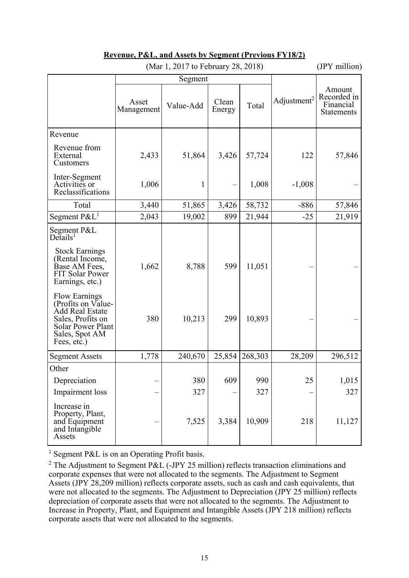| (Mar 1, 2017 to February 28, 2018)                                                                                                       |                     |           |                 |         |                         | (JPY million)                                    |
|------------------------------------------------------------------------------------------------------------------------------------------|---------------------|-----------|-----------------|---------|-------------------------|--------------------------------------------------|
|                                                                                                                                          |                     | Segment   |                 |         |                         |                                                  |
|                                                                                                                                          | Asset<br>Management | Value-Add | Clean<br>Energy | Total   | Adjustment <sup>2</sup> | Amount<br>Recorded in<br>Financial<br>Statements |
| Revenue                                                                                                                                  |                     |           |                 |         |                         |                                                  |
| Revenue from<br>External<br>Customers                                                                                                    | 2,433               | 51,864    | 3,426           | 57,724  | 122                     | 57,846                                           |
| Inter-Segment<br>Activities or<br>Reclassifications                                                                                      | 1,006               | 1         |                 | 1,008   | $-1,008$                |                                                  |
| Total                                                                                                                                    | 3,440               | 51,865    | 3,426           | 58,732  | $-886$                  | 57,846                                           |
| Segment $P\&L^1$                                                                                                                         | 2,043               | 19,002    | 899             | 21,944  | $-25$                   | 21,919                                           |
| Segment P&L<br>$De$ tails <sup>1</sup>                                                                                                   |                     |           |                 |         |                         |                                                  |
| <b>Stock Earnings</b><br>(Rental Income,<br>Base AM Fees,<br><b>FIT Solar Power</b><br>Earnings, etc.)                                   | 1,662               | 8,788     | 599             | 11,051  |                         |                                                  |
| <b>Flow Earnings</b><br>(Profits on Value-<br>Add Real Estate<br>Sales, Profits on<br>Solar Power Plant<br>Sales, Spot AM<br>Fees, etc.) | 380                 | 10,213    | 299             | 10,893  |                         |                                                  |
| <b>Segment Assets</b>                                                                                                                    | 1,778               | 240,670   | 25,854          | 268,303 | 28,209                  | 296,512                                          |
| Other                                                                                                                                    |                     |           |                 |         |                         |                                                  |
| Depreciation                                                                                                                             |                     | 380       | 609             | 990     | 25                      | 1,015                                            |
| Impairment loss                                                                                                                          |                     | 327       |                 | 327     |                         | 327                                              |
| Increase in<br>Property, Plant,<br>and Equipment<br>and Intangible<br>Assets                                                             |                     | 7,525     | 3,384           | 10,909  | 218                     | 11,127                                           |

## **Revenue, P&L, and Assets by Segment (Previous FY18/2)**

<sup>1</sup> Segment P&L is on an Operating Profit basis.

<sup>2</sup> The Adjustment to Segment P&L (-JPY 25 million) reflects transaction eliminations and corporate expenses that were not allocated to the segments. The Adjustment to Segment Assets (JPY 28,209 million) reflects corporate assets, such as cash and cash equivalents, that were not allocated to the segments. The Adjustment to Depreciation (JPY 25 million) reflects depreciation of corporate assets that were not allocated to the segments. The Adjustment to Increase in Property, Plant, and Equipment and Intangible Assets (JPY 218 million) reflects corporate assets that were not allocated to the segments.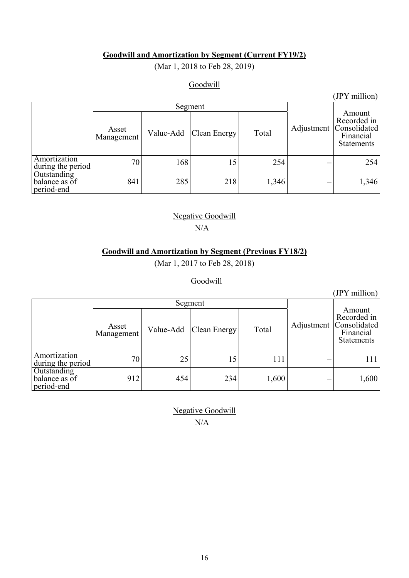## **Goodwill and Amortization by Segment (Current FY19/2)**

(Mar 1, 2018 to Feb 28, 2019)

## Goodwill

### (JPY million)

|                                            | Asset<br>Value-Add<br>Management |     | Clean Energy | Total | Adjustment | Amount<br>Recorded in<br> Consolidated <br>Financial<br><b>Statements</b> |  |
|--------------------------------------------|----------------------------------|-----|--------------|-------|------------|---------------------------------------------------------------------------|--|
| Amortization<br>during the period          | 70                               | 168 | 15           | 254   |            | 254                                                                       |  |
| Outstanding<br>balance as of<br>period-end | 841                              | 285 | 218          | 1,346 |            | 1,346                                                                     |  |

## Negative Goodwill  $N/A$

## **Goodwill and Amortization by Segment (Previous FY18/2)**

(Mar 1, 2017 to Feb 28, 2018)

## Goodwill

Segment Adjustment Amount Recorded in Consolidated Financial Statements Asset<br>Management Value-Add Clean Energy Total Amortization Amortization  $\begin{array}{|l|c|c|c|c|c|c|c|c|} \hline \text{Amortization} & & & 70 & & 25 & 15 & 111 & & & - & 111 \ \hline \end{array}$ **Outstanding** balance as of period-end 912 454 234 1,600 - 1,600

> Negative Goodwill N/A

(JPY million)